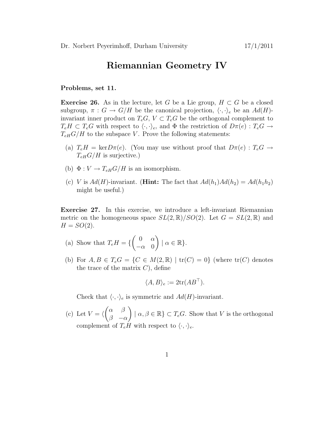## Riemannian Geometry IV

## Problems, set 11.

**Exercise 26.** As in the lecture, let G be a Lie group,  $H \subset G$  be a closed subgroup,  $\pi : G \to G/H$  be the canonical projection,  $\langle \cdot, \cdot \rangle_e$  be an  $Ad(H)$ invariant inner product on  $T_eG$ ,  $V \subset T_eG$  be the orthogonal complement to  $T_eH \subset T_eG$  with respect to  $\langle \cdot, \cdot \rangle_e$ , and  $\Phi$  the restriction of  $D\pi(e) : T_eG \to$  $T_{\text{eH}}G/H$  to the subspace V. Prove the following statements:

- (a)  $T_eH = \text{ker}D\pi(e)$ . (You may use without proof that  $D\pi(e)$ :  $T_eG \rightarrow$  $T_{\rm eH}G/H$  is surjective.)
- (b)  $\Phi: V \to T_{eH}G/H$  is an isomorphism.
- (c) V is  $Ad(H)$ -invariant. (**Hint:** The fact that  $Ad(h_1)Ad(h_2) = Ad(h_1h_2)$ might be useful.)

Exercise 27. In this exercise, we introduce a left-invariant Riemannian metric on the homogeneous space  $SL(2,\mathbb{R})/SO(2)$ . Let  $G = SL(2,\mathbb{R})$  and  $H = SO(2)$ .

- (a) Show that  $T_eH = \{$  $\begin{pmatrix} 0 & \alpha \end{pmatrix}$  $-\alpha$  0  $\Big) \mid \alpha \in \mathbb{R} \}.$
- (b) For  $A, B \in T_e G = \{C \in M(2, \mathbb{R}) \mid \text{tr}(C) = 0\}$  (where  $\text{tr}(C)$  denotes the trace of the matrix  $C$ , define

$$
\langle A, B \rangle_e := 2 \text{tr}(AB^{\top}).
$$

Check that  $\langle \cdot, \cdot \rangle_e$  is symmetric and  $Ad(H)$ -invariant.

(c) Let  $V = \langle$  $\int \alpha$   $\beta$  $\beta$   $-\alpha$  $| \alpha, \beta \in \mathbb{R} \} \subset T_eG$ . Show that V is the orthogonal complement of  $T_eH$  with respect to  $\langle \cdot, \cdot \rangle_e$ .